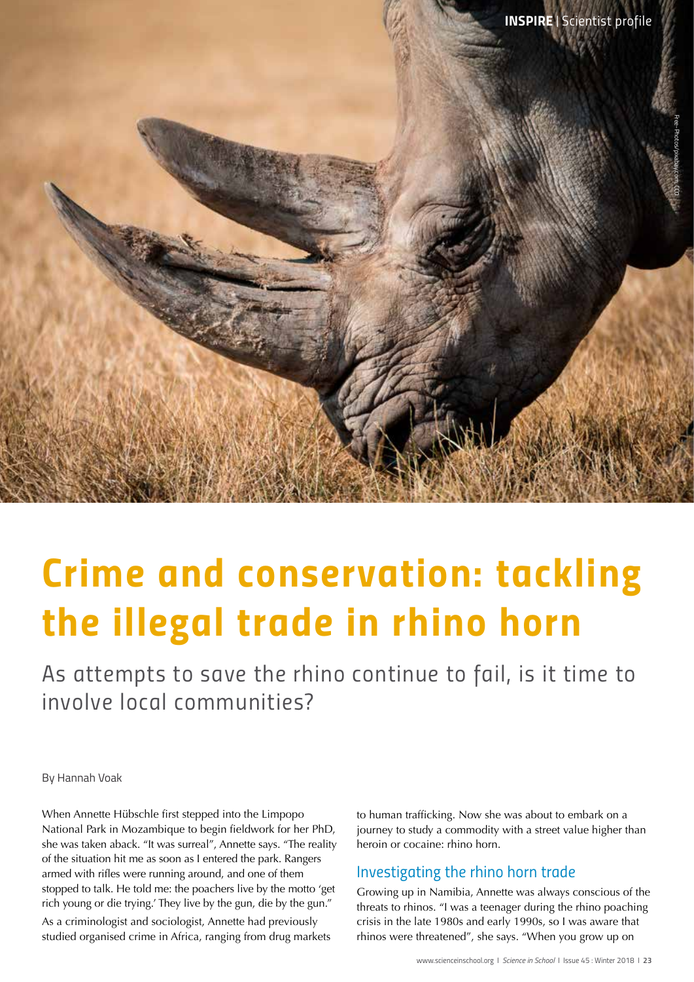

# *Crime and conservation: tackling the illegal trade in rhino horn*

*As attempts to save the rhino continue to fail, is it time to involve local communities?*

By Hannah Voak

When Annette Hübschle first stepped into the Limpopo National Park in Mozambique to begin fieldwork for her PhD, she was taken aback. "It was surreal", Annette says. "The reality of the situation hit me as soon as I entered the park. Rangers armed with rifles were running around, and one of them stopped to talk. He told me: the poachers live by the motto 'get rich young or die trying.' They live by the gun, die by the gun."

As a criminologist and sociologist, Annette had previously studied organised crime in Africa, ranging from drug markets to human trafficking. Now she was about to embark on a journey to study a commodity with a street value higher than heroin or cocaine: rhino horn.

## *Investigating the rhino horn trade*

Growing up in Namibia, Annette was always conscious of the threats to rhinos. "I was a teenager during the rhino poaching crisis in the late 1980s and early 1990s, so I was aware that rhinos were threatened", she says. "When you grow up on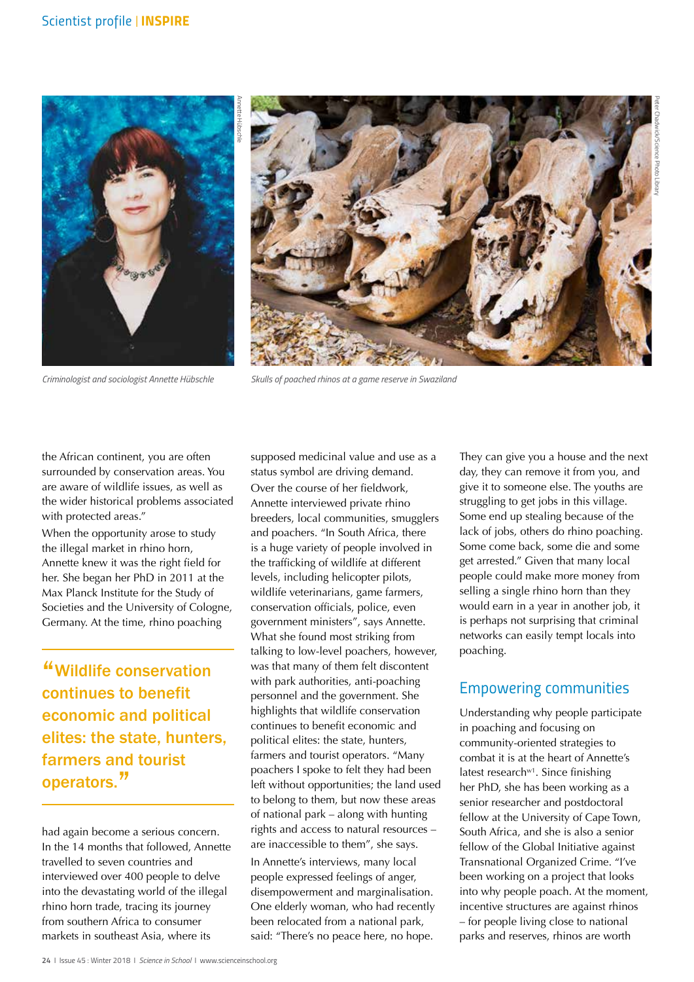



*Criminologist and sociologist Annette Hübschle*

*Skulls of poached rhinos at a game reserve in Swaziland*

the African continent, you are often surrounded by conservation areas. You are aware of wildlife issues, as well as the wider historical problems associated with protected areas."

When the opportunity arose to study the illegal market in rhino horn, Annette knew it was the right field for her. She began her PhD in 2011 at the Max Planck Institute for the Study of Societies and the University of Cologne, Germany. At the time, rhino poaching

"Wildlife conservation continues to benefit economic and political elites: the state, hunters, farmers and tourist operators."

had again become a serious concern. In the 14 months that followed, Annette travelled to seven countries and interviewed over 400 people to delve into the devastating world of the illegal rhino horn trade, tracing its journey from southern Africa to consumer markets in southeast Asia, where its

supposed medicinal value and use as a status symbol are driving demand. Over the course of her fieldwork, Annette interviewed private rhino breeders, local communities, smugglers and poachers. "In South Africa, there is a huge variety of people involved in the trafficking of wildlife at different levels, including helicopter pilots, wildlife veterinarians, game farmers, conservation officials, police, even government ministers", says Annette. What she found most striking from talking to low-level poachers, however, was that many of them felt discontent with park authorities, anti-poaching personnel and the government. She highlights that wildlife conservation continues to benefit economic and political elites: the state, hunters, farmers and tourist operators. "Many poachers I spoke to felt they had been left without opportunities; the land used to belong to them, but now these areas of national park – along with hunting rights and access to natural resources – are inaccessible to them", she says. In Annette's interviews, many local people expressed feelings of anger, disempowerment and marginalisation. One elderly woman, who had recently been relocated from a national park, said: "There's no peace here, no hope.

They can give you a house and the next day, they can remove it from you, and give it to someone else. The youths are struggling to get jobs in this village. Some end up stealing because of the lack of jobs, others do rhino poaching. Some come back, some die and some get arrested." Given that many local people could make more money from selling a single rhino horn than they would earn in a year in another job, it is perhaps not surprising that criminal networks can easily tempt locals into poaching.

### *Empowering communities*

Understanding why people participate in poaching and focusing on community-oriented strategies to combat it is at the heart of Annette's latest research $w<sup>1</sup>$ . Since finishing her PhD, she has been working as a senior researcher and postdoctoral fellow at the University of Cape Town, South Africa, and she is also a senior fellow of the Global Initiative against Transnational Organized Crime. "I've been working on a project that looks into why people poach. At the moment, incentive structures are against rhinos – for people living close to national parks and reserves, rhinos are worth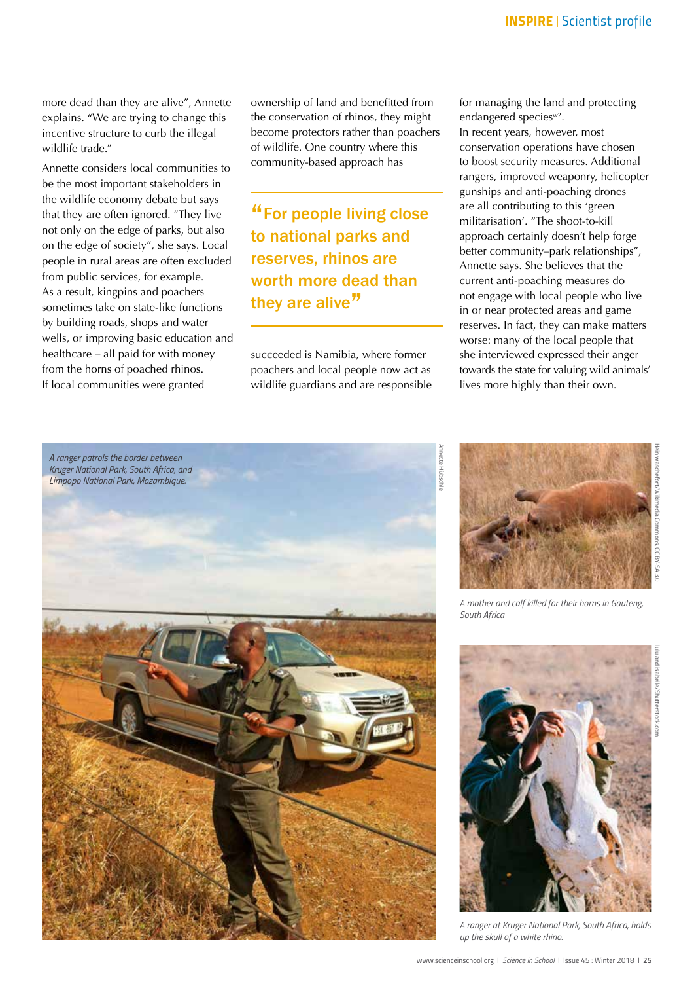more dead than they are alive", Annette explains. "We are trying to change this incentive structure to curb the illegal wildlife trade."

Annette considers local communities to be the most important stakeholders in the wildlife economy debate but says that they are often ignored. "They live not only on the edge of parks, but also on the edge of society", she says. Local people in rural areas are often excluded from public services, for example. As a result, kingpins and poachers sometimes take on state-like functions by building roads, shops and water wells, or improving basic education and healthcare – all paid for with money from the horns of poached rhinos. If local communities were granted

ownership of land and benefitted from the conservation of rhinos, they might become protectors rather than poachers of wildlife. One country where this community-based approach has

"For people living close to national parks and reserves, rhinos are worth more dead than they are alive"

succeeded is Namibia, where former poachers and local people now act as wildlife guardians and are responsible for managing the land and protecting endangered species<sup>w2</sup>.

In recent years, however, most conservation operations have chosen to boost security measures. Additional rangers, improved weaponry, helicopter gunships and anti-poaching drones are all contributing to this 'green militarisation'. "The shoot-to-kill approach certainly doesn't help forge better community–park relationships", Annette says. She believes that the current anti-poaching measures do not engage with local people who live in or near protected areas and game reserves. In fact, they can make matters worse: many of the local people that she interviewed expressed their anger towards the state for valuing wild animals' lives more highly than their own.





*South Africa*

*A mother and calf killed for their horns in Gauteng,* 

Hein waschefort/Wikimedia Commons, CC BY-SA 3.0



*A ranger at Kruger National Park, South Africa, holds up the skull of a white rhino.*